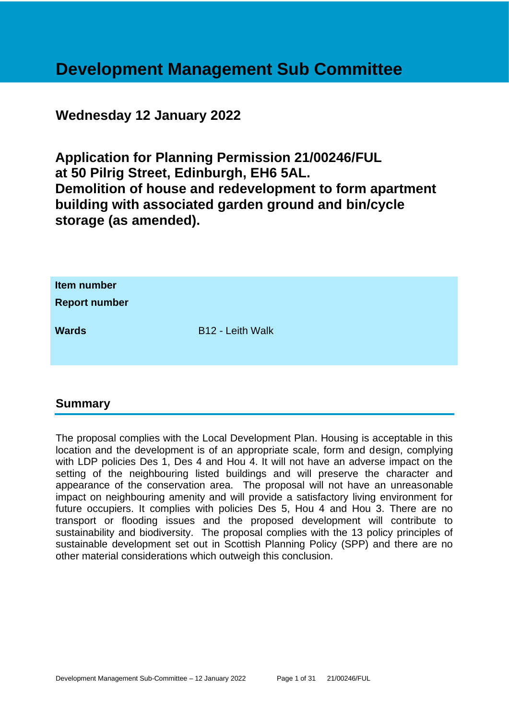# **Development Management Sub Committee**

# **Wednesday 12 January 2022**

**Application for Planning Permission 21/00246/FUL at 50 Pilrig Street, Edinburgh, EH6 5AL. Demolition of house and redevelopment to form apartment building with associated garden ground and bin/cycle storage (as amended).**

| Item number<br><b>Report number</b> |                         |
|-------------------------------------|-------------------------|
| <b>Wards</b>                        | <b>B12 - Leith Walk</b> |

# **Summary**

The proposal complies with the Local Development Plan. Housing is acceptable in this location and the development is of an appropriate scale, form and design, complying with LDP policies Des 1, Des 4 and Hou 4. It will not have an adverse impact on the setting of the neighbouring listed buildings and will preserve the character and appearance of the conservation area. The proposal will not have an unreasonable impact on neighbouring amenity and will provide a satisfactory living environment for future occupiers. It complies with policies Des 5, Hou 4 and Hou 3. There are no transport or flooding issues and the proposed development will contribute to sustainability and biodiversity. The proposal complies with the 13 policy principles of sustainable development set out in Scottish Planning Policy (SPP) and there are no other material considerations which outweigh this conclusion.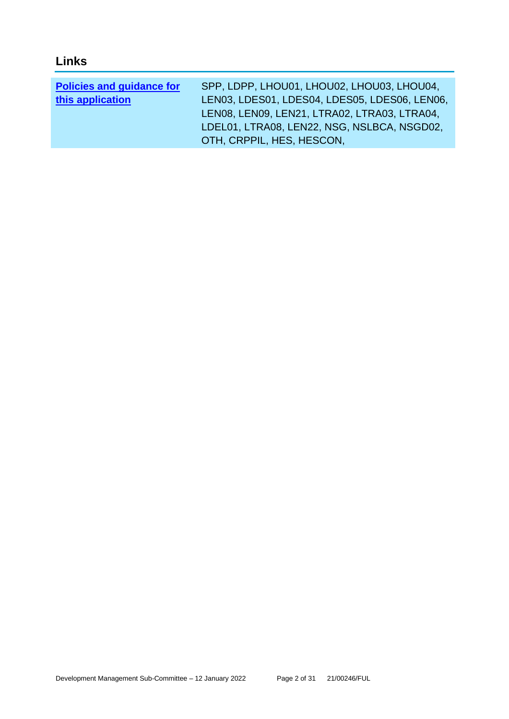# **Links**

| <b>Policies and guidance for</b> | SPP, LDPP, LHOU01, LHOU02, LHOU03, LHOU04,    |
|----------------------------------|-----------------------------------------------|
| this application                 | LEN03, LDES01, LDES04, LDES05, LDES06, LEN06, |
|                                  | LENO8, LENO9, LEN21, LTRAO2, LTRAO3, LTRAO4,  |
|                                  | LDEL01, LTRA08, LEN22, NSG, NSLBCA, NSGD02,   |
|                                  | OTH, CRPPIL, HES, HESCON,                     |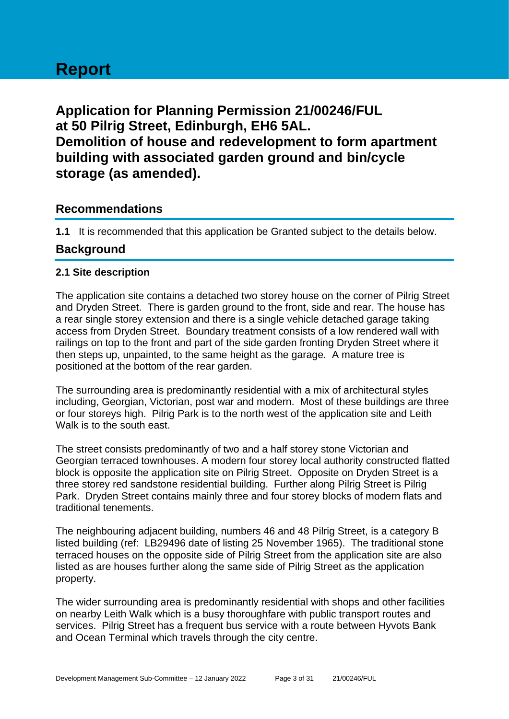# **Report**

**Application for Planning Permission 21/00246/FUL at 50 Pilrig Street, Edinburgh, EH6 5AL. Demolition of house and redevelopment to form apartment building with associated garden ground and bin/cycle storage (as amended).**

# **Recommendations**

**1.1** It is recommended that this application be Granted subject to the details below.

# **Background**

# **2.1 Site description**

The application site contains a detached two storey house on the corner of Pilrig Street and Dryden Street. There is garden ground to the front, side and rear. The house has a rear single storey extension and there is a single vehicle detached garage taking access from Dryden Street. Boundary treatment consists of a low rendered wall with railings on top to the front and part of the side garden fronting Dryden Street where it then steps up, unpainted, to the same height as the garage. A mature tree is positioned at the bottom of the rear garden.

The surrounding area is predominantly residential with a mix of architectural styles including, Georgian, Victorian, post war and modern. Most of these buildings are three or four storeys high. Pilrig Park is to the north west of the application site and Leith Walk is to the south east.

The street consists predominantly of two and a half storey stone Victorian and Georgian terraced townhouses. A modern four storey local authority constructed flatted block is opposite the application site on Pilrig Street. Opposite on Dryden Street is a three storey red sandstone residential building. Further along Pilrig Street is Pilrig Park. Dryden Street contains mainly three and four storey blocks of modern flats and traditional tenements.

The neighbouring adjacent building, numbers 46 and 48 Pilrig Street, is a category B listed building (ref: LB29496 date of listing 25 November 1965). The traditional stone terraced houses on the opposite side of Pilrig Street from the application site are also listed as are houses further along the same side of Pilrig Street as the application property.

The wider surrounding area is predominantly residential with shops and other facilities on nearby Leith Walk which is a busy thoroughfare with public transport routes and services. Pilrig Street has a frequent bus service with a route between Hyvots Bank and Ocean Terminal which travels through the city centre.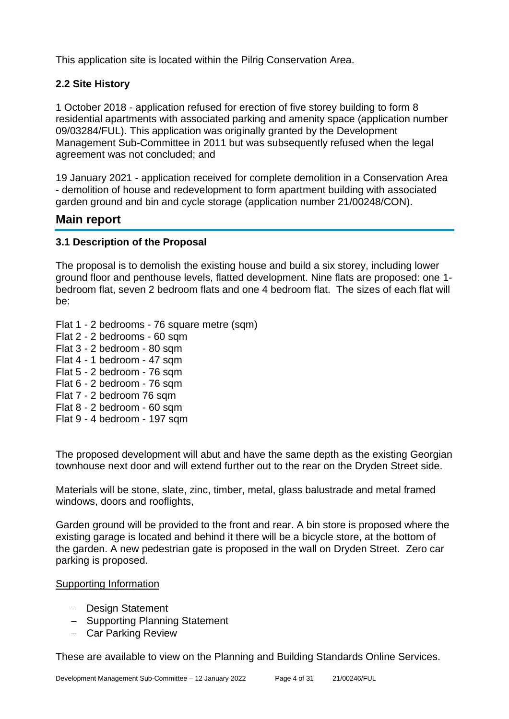This application site is located within the Pilrig Conservation Area.

# **2.2 Site History**

1 October 2018 - application refused for erection of five storey building to form 8 residential apartments with associated parking and amenity space (application number 09/03284/FUL). This application was originally granted by the Development Management Sub-Committee in 2011 but was subsequently refused when the legal agreement was not concluded; and

19 January 2021 - application received for complete demolition in a Conservation Area - demolition of house and redevelopment to form apartment building with associated garden ground and bin and cycle storage (application number 21/00248/CON).

# **Main report**

# **3.1 Description of the Proposal**

The proposal is to demolish the existing house and build a six storey, including lower ground floor and penthouse levels, flatted development. Nine flats are proposed: one 1 bedroom flat, seven 2 bedroom flats and one 4 bedroom flat. The sizes of each flat will be:

Flat 1 - 2 bedrooms - 76 square metre (sqm) Flat 2 - 2 bedrooms - 60 sqm Flat 3 - 2 bedroom - 80 sqm Flat 4 - 1 bedroom - 47 sqm Flat 5 - 2 bedroom - 76 sqm Flat 6 - 2 bedroom - 76 sqm

- Flat 7 2 bedroom 76 sqm
- Flat 8 2 bedroom 60 sqm
- Flat 9 4 bedroom 197 sqm

The proposed development will abut and have the same depth as the existing Georgian townhouse next door and will extend further out to the rear on the Dryden Street side.

Materials will be stone, slate, zinc, timber, metal, glass balustrade and metal framed windows, doors and rooflights,

Garden ground will be provided to the front and rear. A bin store is proposed where the existing garage is located and behind it there will be a bicycle store, at the bottom of the garden. A new pedestrian gate is proposed in the wall on Dryden Street. Zero car parking is proposed.

# Supporting Information

- − Design Statement
- − Supporting Planning Statement
- − Car Parking Review

These are available to view on the Planning and Building Standards Online Services.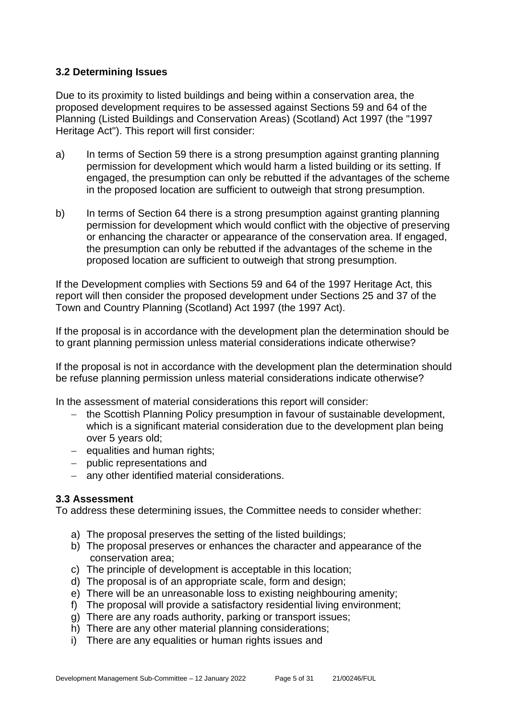# **3.2 Determining Issues**

Due to its proximity to listed buildings and being within a conservation area, the proposed development requires to be assessed against Sections 59 and 64 of the Planning (Listed Buildings and Conservation Areas) (Scotland) Act 1997 (the "1997 Heritage Act"). This report will first consider:

- a) In terms of Section 59 there is a strong presumption against granting planning permission for development which would harm a listed building or its setting. If engaged, the presumption can only be rebutted if the advantages of the scheme in the proposed location are sufficient to outweigh that strong presumption.
- b) In terms of Section 64 there is a strong presumption against granting planning permission for development which would conflict with the objective of preserving or enhancing the character or appearance of the conservation area. If engaged, the presumption can only be rebutted if the advantages of the scheme in the proposed location are sufficient to outweigh that strong presumption.

If the Development complies with Sections 59 and 64 of the 1997 Heritage Act, this report will then consider the proposed development under Sections 25 and 37 of the Town and Country Planning (Scotland) Act 1997 (the 1997 Act).

If the proposal is in accordance with the development plan the determination should be to grant planning permission unless material considerations indicate otherwise?

If the proposal is not in accordance with the development plan the determination should be refuse planning permission unless material considerations indicate otherwise?

In the assessment of material considerations this report will consider:

- − the Scottish Planning Policy presumption in favour of sustainable development, which is a significant material consideration due to the development plan being over 5 years old;
- − equalities and human rights;
- − public representations and
- − any other identified material considerations.

# **3.3 Assessment**

To address these determining issues, the Committee needs to consider whether:

- a) The proposal preserves the setting of the listed buildings;
- b) The proposal preserves or enhances the character and appearance of the conservation area;
- c) The principle of development is acceptable in this location;
- d) The proposal is of an appropriate scale, form and design;
- e) There will be an unreasonable loss to existing neighbouring amenity;
- f) The proposal will provide a satisfactory residential living environment;
- g) There are any roads authority, parking or transport issues;
- h) There are any other material planning considerations;
- i) There are any equalities or human rights issues and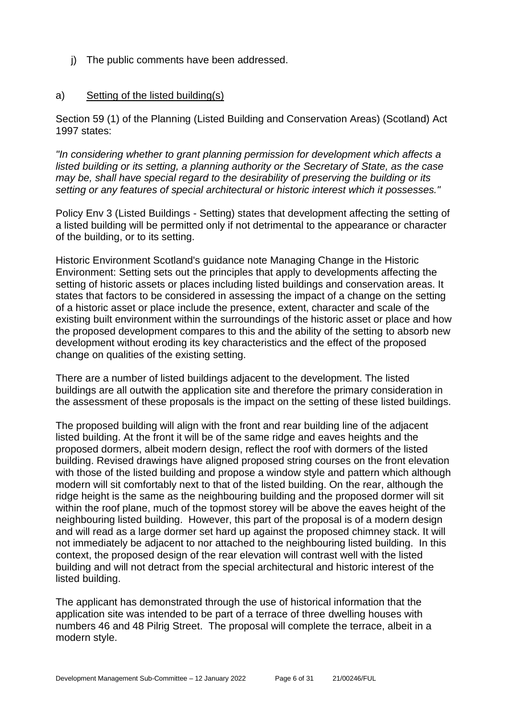j) The public comments have been addressed.

#### a) Setting of the listed building(s)

Section 59 (1) of the Planning (Listed Building and Conservation Areas) (Scotland) Act 1997 states:

*"In considering whether to grant planning permission for development which affects a listed building or its setting, a planning authority or the Secretary of State, as the case may be, shall have special regard to the desirability of preserving the building or its setting or any features of special architectural or historic interest which it possesses."*

Policy Env 3 (Listed Buildings - Setting) states that development affecting the setting of a listed building will be permitted only if not detrimental to the appearance or character of the building, or to its setting.

Historic Environment Scotland's guidance note Managing Change in the Historic Environment: Setting sets out the principles that apply to developments affecting the setting of historic assets or places including listed buildings and conservation areas. It states that factors to be considered in assessing the impact of a change on the setting of a historic asset or place include the presence, extent, character and scale of the existing built environment within the surroundings of the historic asset or place and how the proposed development compares to this and the ability of the setting to absorb new development without eroding its key characteristics and the effect of the proposed change on qualities of the existing setting.

There are a number of listed buildings adjacent to the development. The listed buildings are all outwith the application site and therefore the primary consideration in the assessment of these proposals is the impact on the setting of these listed buildings.

The proposed building will align with the front and rear building line of the adjacent listed building. At the front it will be of the same ridge and eaves heights and the proposed dormers, albeit modern design, reflect the roof with dormers of the listed building. Revised drawings have aligned proposed string courses on the front elevation with those of the listed building and propose a window style and pattern which although modern will sit comfortably next to that of the listed building. On the rear, although the ridge height is the same as the neighbouring building and the proposed dormer will sit within the roof plane, much of the topmost storey will be above the eaves height of the neighbouring listed building. However, this part of the proposal is of a modern design and will read as a large dormer set hard up against the proposed chimney stack. It will not immediately be adjacent to nor attached to the neighbouring listed building. In this context, the proposed design of the rear elevation will contrast well with the listed building and will not detract from the special architectural and historic interest of the listed building.

The applicant has demonstrated through the use of historical information that the application site was intended to be part of a terrace of three dwelling houses with numbers 46 and 48 Pilrig Street. The proposal will complete the terrace, albeit in a modern style.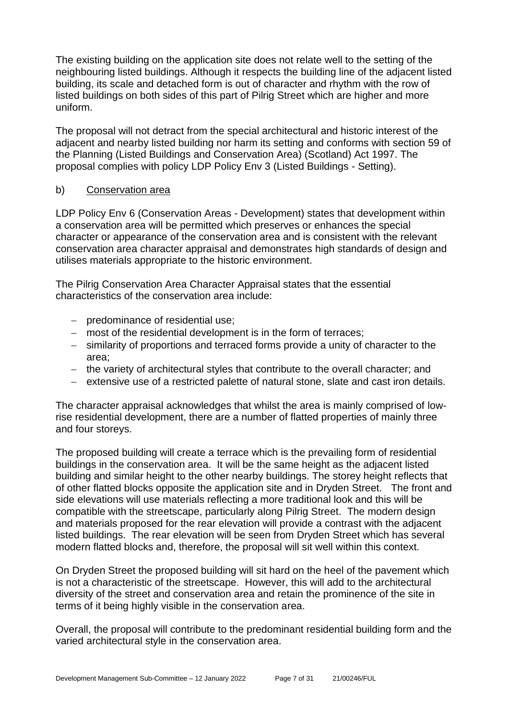The existing building on the application site does not relate well to the setting of the neighbouring listed buildings. Although it respects the building line of the adjacent listed building, its scale and detached form is out of character and rhythm with the row of listed buildings on both sides of this part of Pilrig Street which are higher and more uniform.

The proposal will not detract from the special architectural and historic interest of the adjacent and nearby listed building nor harm its setting and conforms with section 59 of the Planning (Listed Buildings and Conservation Area) (Scotland) Act 1997. The proposal complies with policy LDP Policy Env 3 (Listed Buildings - Setting).

# b) Conservation area

LDP Policy Env 6 (Conservation Areas - Development) states that development within a conservation area will be permitted which preserves or enhances the special character or appearance of the conservation area and is consistent with the relevant conservation area character appraisal and demonstrates high standards of design and utilises materials appropriate to the historic environment.

The Pilrig Conservation Area Character Appraisal states that the essential characteristics of the conservation area include:

- − predominance of residential use;
- − most of the residential development is in the form of terraces;
- − similarity of proportions and terraced forms provide a unity of character to the area;
- − the variety of architectural styles that contribute to the overall character; and
- − extensive use of a restricted palette of natural stone, slate and cast iron details.

The character appraisal acknowledges that whilst the area is mainly comprised of lowrise residential development, there are a number of flatted properties of mainly three and four storeys.

The proposed building will create a terrace which is the prevailing form of residential buildings in the conservation area. It will be the same height as the adjacent listed building and similar height to the other nearby buildings. The storey height reflects that of other flatted blocks opposite the application site and in Dryden Street. The front and side elevations will use materials reflecting a more traditional look and this will be compatible with the streetscape, particularly along Pilrig Street. The modern design and materials proposed for the rear elevation will provide a contrast with the adjacent listed buildings. The rear elevation will be seen from Dryden Street which has several modern flatted blocks and, therefore, the proposal will sit well within this context.

On Dryden Street the proposed building will sit hard on the heel of the pavement which is not a characteristic of the streetscape. However, this will add to the architectural diversity of the street and conservation area and retain the prominence of the site in terms of it being highly visible in the conservation area.

Overall, the proposal will contribute to the predominant residential building form and the varied architectural style in the conservation area.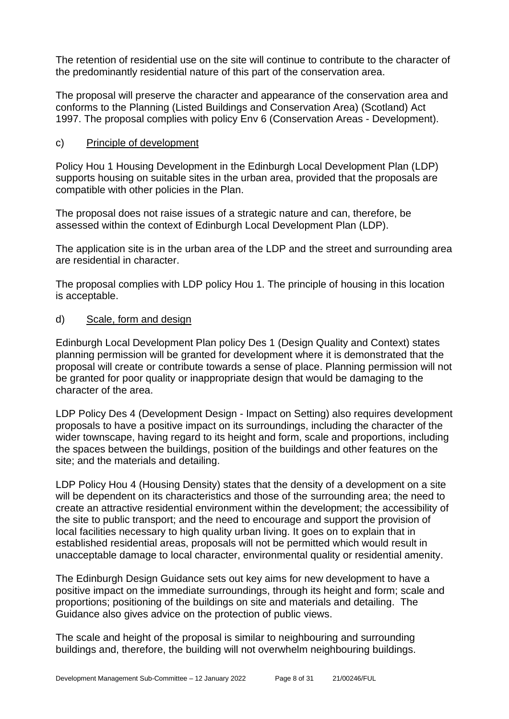The retention of residential use on the site will continue to contribute to the character of the predominantly residential nature of this part of the conservation area.

The proposal will preserve the character and appearance of the conservation area and conforms to the Planning (Listed Buildings and Conservation Area) (Scotland) Act 1997. The proposal complies with policy Env 6 (Conservation Areas - Development).

# c) Principle of development

Policy Hou 1 Housing Development in the Edinburgh Local Development Plan (LDP) supports housing on suitable sites in the urban area, provided that the proposals are compatible with other policies in the Plan.

The proposal does not raise issues of a strategic nature and can, therefore, be assessed within the context of Edinburgh Local Development Plan (LDP).

The application site is in the urban area of the LDP and the street and surrounding area are residential in character.

The proposal complies with LDP policy Hou 1. The principle of housing in this location is acceptable.

# d) Scale, form and design

Edinburgh Local Development Plan policy Des 1 (Design Quality and Context) states planning permission will be granted for development where it is demonstrated that the proposal will create or contribute towards a sense of place. Planning permission will not be granted for poor quality or inappropriate design that would be damaging to the character of the area.

LDP Policy Des 4 (Development Design - Impact on Setting) also requires development proposals to have a positive impact on its surroundings, including the character of the wider townscape, having regard to its height and form, scale and proportions, including the spaces between the buildings, position of the buildings and other features on the site; and the materials and detailing.

LDP Policy Hou 4 (Housing Density) states that the density of a development on a site will be dependent on its characteristics and those of the surrounding area; the need to create an attractive residential environment within the development; the accessibility of the site to public transport; and the need to encourage and support the provision of local facilities necessary to high quality urban living. It goes on to explain that in established residential areas, proposals will not be permitted which would result in unacceptable damage to local character, environmental quality or residential amenity.

The Edinburgh Design Guidance sets out key aims for new development to have a positive impact on the immediate surroundings, through its height and form; scale and proportions; positioning of the buildings on site and materials and detailing. The Guidance also gives advice on the protection of public views.

The scale and height of the proposal is similar to neighbouring and surrounding buildings and, therefore, the building will not overwhelm neighbouring buildings.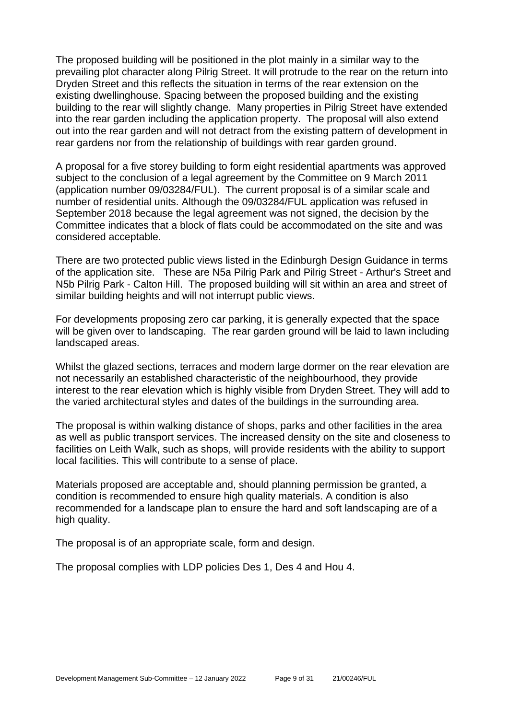The proposed building will be positioned in the plot mainly in a similar way to the prevailing plot character along Pilrig Street. It will protrude to the rear on the return into Dryden Street and this reflects the situation in terms of the rear extension on the existing dwellinghouse. Spacing between the proposed building and the existing building to the rear will slightly change. Many properties in Pilrig Street have extended into the rear garden including the application property. The proposal will also extend out into the rear garden and will not detract from the existing pattern of development in rear gardens nor from the relationship of buildings with rear garden ground.

A proposal for a five storey building to form eight residential apartments was approved subject to the conclusion of a legal agreement by the Committee on 9 March 2011 (application number 09/03284/FUL). The current proposal is of a similar scale and number of residential units. Although the 09/03284/FUL application was refused in September 2018 because the legal agreement was not signed, the decision by the Committee indicates that a block of flats could be accommodated on the site and was considered acceptable.

There are two protected public views listed in the Edinburgh Design Guidance in terms of the application site. These are N5a Pilrig Park and Pilrig Street - Arthur's Street and N5b Pilrig Park - Calton Hill. The proposed building will sit within an area and street of similar building heights and will not interrupt public views.

For developments proposing zero car parking, it is generally expected that the space will be given over to landscaping. The rear garden ground will be laid to lawn including landscaped areas.

Whilst the glazed sections, terraces and modern large dormer on the rear elevation are not necessarily an established characteristic of the neighbourhood, they provide interest to the rear elevation which is highly visible from Dryden Street. They will add to the varied architectural styles and dates of the buildings in the surrounding area.

The proposal is within walking distance of shops, parks and other facilities in the area as well as public transport services. The increased density on the site and closeness to facilities on Leith Walk, such as shops, will provide residents with the ability to support local facilities. This will contribute to a sense of place.

Materials proposed are acceptable and, should planning permission be granted, a condition is recommended to ensure high quality materials. A condition is also recommended for a landscape plan to ensure the hard and soft landscaping are of a high quality.

The proposal is of an appropriate scale, form and design.

The proposal complies with LDP policies Des 1, Des 4 and Hou 4.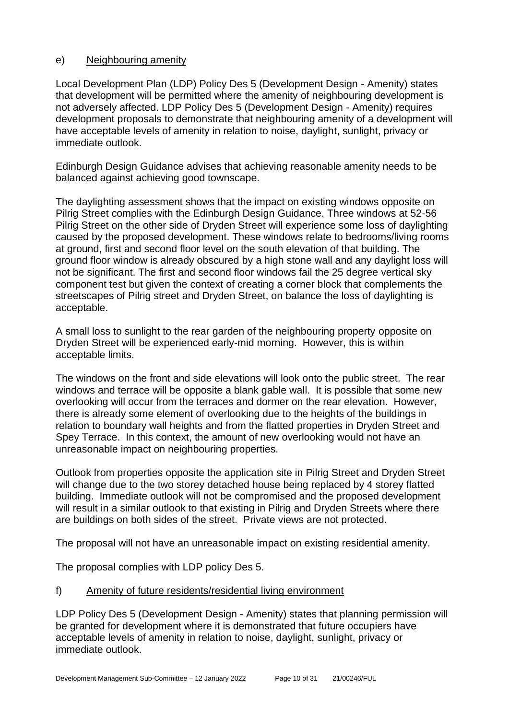# e) Neighbouring amenity

Local Development Plan (LDP) Policy Des 5 (Development Design - Amenity) states that development will be permitted where the amenity of neighbouring development is not adversely affected. LDP Policy Des 5 (Development Design - Amenity) requires development proposals to demonstrate that neighbouring amenity of a development will have acceptable levels of amenity in relation to noise, daylight, sunlight, privacy or immediate outlook.

Edinburgh Design Guidance advises that achieving reasonable amenity needs to be balanced against achieving good townscape.

The daylighting assessment shows that the impact on existing windows opposite on Pilrig Street complies with the Edinburgh Design Guidance. Three windows at 52-56 Pilrig Street on the other side of Dryden Street will experience some loss of daylighting caused by the proposed development. These windows relate to bedrooms/living rooms at ground, first and second floor level on the south elevation of that building. The ground floor window is already obscured by a high stone wall and any daylight loss will not be significant. The first and second floor windows fail the 25 degree vertical sky component test but given the context of creating a corner block that complements the streetscapes of Pilrig street and Dryden Street, on balance the loss of daylighting is acceptable.

A small loss to sunlight to the rear garden of the neighbouring property opposite on Dryden Street will be experienced early-mid morning. However, this is within acceptable limits.

The windows on the front and side elevations will look onto the public street. The rear windows and terrace will be opposite a blank gable wall. It is possible that some new overlooking will occur from the terraces and dormer on the rear elevation. However, there is already some element of overlooking due to the heights of the buildings in relation to boundary wall heights and from the flatted properties in Dryden Street and Spey Terrace. In this context, the amount of new overlooking would not have an unreasonable impact on neighbouring properties.

Outlook from properties opposite the application site in Pilrig Street and Dryden Street will change due to the two storey detached house being replaced by 4 storey flatted building. Immediate outlook will not be compromised and the proposed development will result in a similar outlook to that existing in Pilrig and Dryden Streets where there are buildings on both sides of the street. Private views are not protected.

The proposal will not have an unreasonable impact on existing residential amenity.

The proposal complies with LDP policy Des 5.

# f) Amenity of future residents/residential living environment

LDP Policy Des 5 (Development Design - Amenity) states that planning permission will be granted for development where it is demonstrated that future occupiers have acceptable levels of amenity in relation to noise, daylight, sunlight, privacy or immediate outlook.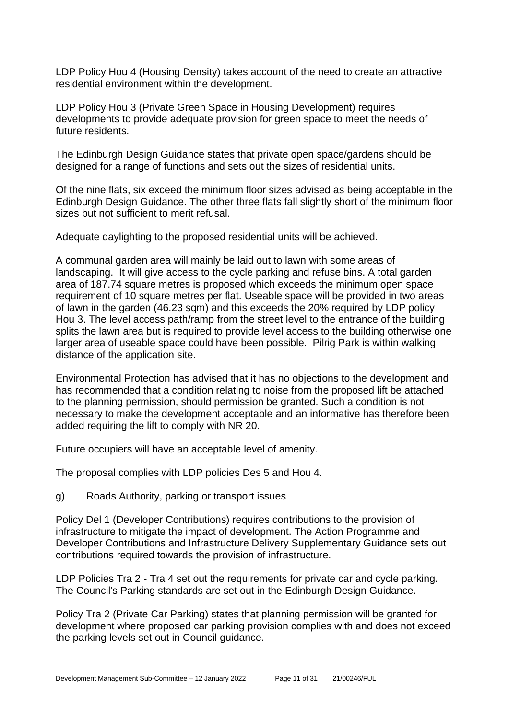LDP Policy Hou 4 (Housing Density) takes account of the need to create an attractive residential environment within the development.

LDP Policy Hou 3 (Private Green Space in Housing Development) requires developments to provide adequate provision for green space to meet the needs of future residents.

The Edinburgh Design Guidance states that private open space/gardens should be designed for a range of functions and sets out the sizes of residential units.

Of the nine flats, six exceed the minimum floor sizes advised as being acceptable in the Edinburgh Design Guidance. The other three flats fall slightly short of the minimum floor sizes but not sufficient to merit refusal.

Adequate daylighting to the proposed residential units will be achieved.

A communal garden area will mainly be laid out to lawn with some areas of landscaping. It will give access to the cycle parking and refuse bins. A total garden area of 187.74 square metres is proposed which exceeds the minimum open space requirement of 10 square metres per flat. Useable space will be provided in two areas of lawn in the garden (46.23 sqm) and this exceeds the 20% required by LDP policy Hou 3. The level access path/ramp from the street level to the entrance of the building splits the lawn area but is required to provide level access to the building otherwise one larger area of useable space could have been possible. Pilrig Park is within walking distance of the application site.

Environmental Protection has advised that it has no objections to the development and has recommended that a condition relating to noise from the proposed lift be attached to the planning permission, should permission be granted. Such a condition is not necessary to make the development acceptable and an informative has therefore been added requiring the lift to comply with NR 20.

Future occupiers will have an acceptable level of amenity.

The proposal complies with LDP policies Des 5 and Hou 4.

g) Roads Authority, parking or transport issues

Policy Del 1 (Developer Contributions) requires contributions to the provision of infrastructure to mitigate the impact of development. The Action Programme and Developer Contributions and Infrastructure Delivery Supplementary Guidance sets out contributions required towards the provision of infrastructure.

LDP Policies Tra 2 - Tra 4 set out the requirements for private car and cycle parking. The Council's Parking standards are set out in the Edinburgh Design Guidance.

Policy Tra 2 (Private Car Parking) states that planning permission will be granted for development where proposed car parking provision complies with and does not exceed the parking levels set out in Council guidance.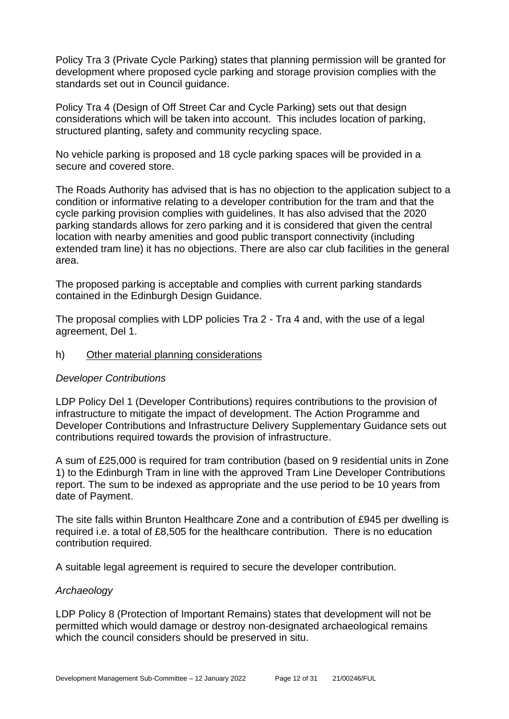Policy Tra 3 (Private Cycle Parking) states that planning permission will be granted for development where proposed cycle parking and storage provision complies with the standards set out in Council guidance.

Policy Tra 4 (Design of Off Street Car and Cycle Parking) sets out that design considerations which will be taken into account. This includes location of parking, structured planting, safety and community recycling space.

No vehicle parking is proposed and 18 cycle parking spaces will be provided in a secure and covered store.

The Roads Authority has advised that is has no objection to the application subject to a condition or informative relating to a developer contribution for the tram and that the cycle parking provision complies with guidelines. It has also advised that the 2020 parking standards allows for zero parking and it is considered that given the central location with nearby amenities and good public transport connectivity (including extended tram line) it has no objections. There are also car club facilities in the general area.

The proposed parking is acceptable and complies with current parking standards contained in the Edinburgh Design Guidance.

The proposal complies with LDP policies Tra 2 - Tra 4 and, with the use of a legal agreement, Del 1.

h) Other material planning considerations

# *Developer Contributions*

LDP Policy Del 1 (Developer Contributions) requires contributions to the provision of infrastructure to mitigate the impact of development. The Action Programme and Developer Contributions and Infrastructure Delivery Supplementary Guidance sets out contributions required towards the provision of infrastructure.

A sum of £25,000 is required for tram contribution (based on 9 residential units in Zone 1) to the Edinburgh Tram in line with the approved Tram Line Developer Contributions report. The sum to be indexed as appropriate and the use period to be 10 years from date of Payment.

The site falls within Brunton Healthcare Zone and a contribution of £945 per dwelling is required i.e. a total of £8,505 for the healthcare contribution. There is no education contribution required.

A suitable legal agreement is required to secure the developer contribution.

# *Archaeology*

LDP Policy 8 (Protection of Important Remains) states that development will not be permitted which would damage or destroy non-designated archaeological remains which the council considers should be preserved in situ.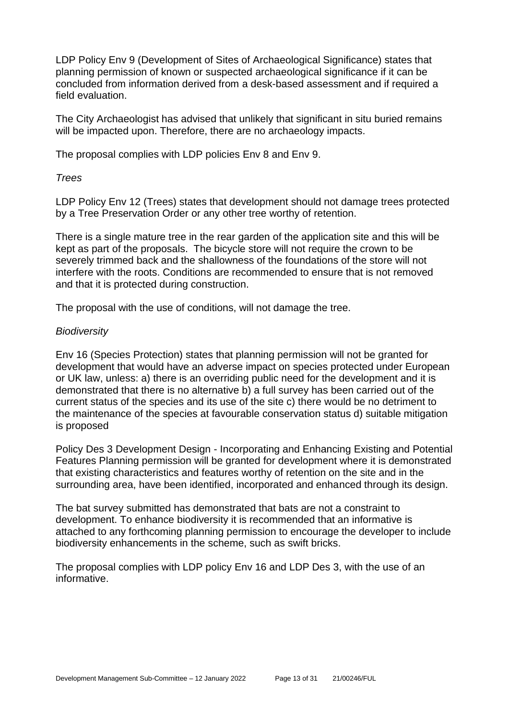LDP Policy Env 9 (Development of Sites of Archaeological Significance) states that planning permission of known or suspected archaeological significance if it can be concluded from information derived from a desk-based assessment and if required a field evaluation.

The City Archaeologist has advised that unlikely that significant in situ buried remains will be impacted upon. Therefore, there are no archaeology impacts.

The proposal complies with LDP policies Env 8 and Env 9.

*Trees*

LDP Policy Env 12 (Trees) states that development should not damage trees protected by a Tree Preservation Order or any other tree worthy of retention.

There is a single mature tree in the rear garden of the application site and this will be kept as part of the proposals. The bicycle store will not require the crown to be severely trimmed back and the shallowness of the foundations of the store will not interfere with the roots. Conditions are recommended to ensure that is not removed and that it is protected during construction.

The proposal with the use of conditions, will not damage the tree.

# *Biodiversity*

Env 16 (Species Protection) states that planning permission will not be granted for development that would have an adverse impact on species protected under European or UK law, unless: a) there is an overriding public need for the development and it is demonstrated that there is no alternative b) a full survey has been carried out of the current status of the species and its use of the site c) there would be no detriment to the maintenance of the species at favourable conservation status d) suitable mitigation is proposed

Policy Des 3 Development Design - Incorporating and Enhancing Existing and Potential Features Planning permission will be granted for development where it is demonstrated that existing characteristics and features worthy of retention on the site and in the surrounding area, have been identified, incorporated and enhanced through its design.

The bat survey submitted has demonstrated that bats are not a constraint to development. To enhance biodiversity it is recommended that an informative is attached to any forthcoming planning permission to encourage the developer to include biodiversity enhancements in the scheme, such as swift bricks.

The proposal complies with LDP policy Env 16 and LDP Des 3, with the use of an informative.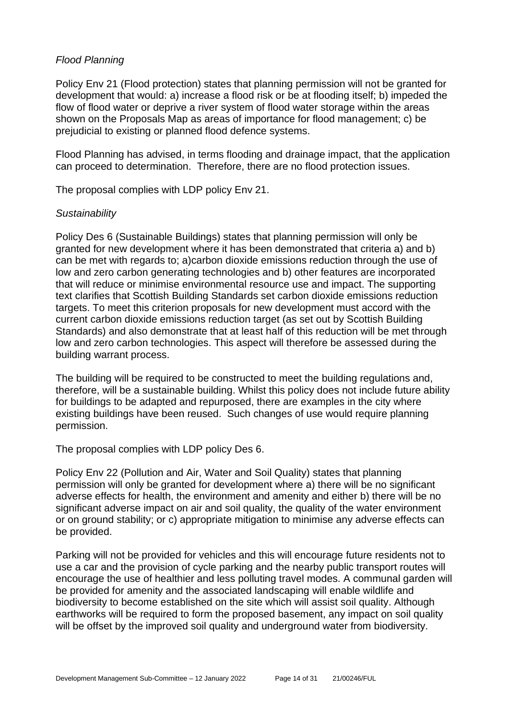# *Flood Planning*

Policy Env 21 (Flood protection) states that planning permission will not be granted for development that would: a) increase a flood risk or be at flooding itself; b) impeded the flow of flood water or deprive a river system of flood water storage within the areas shown on the Proposals Map as areas of importance for flood management; c) be prejudicial to existing or planned flood defence systems.

Flood Planning has advised, in terms flooding and drainage impact, that the application can proceed to determination. Therefore, there are no flood protection issues.

The proposal complies with LDP policy Env 21.

# *Sustainability*

Policy Des 6 (Sustainable Buildings) states that planning permission will only be granted for new development where it has been demonstrated that criteria a) and b) can be met with regards to; a)carbon dioxide emissions reduction through the use of low and zero carbon generating technologies and b) other features are incorporated that will reduce or minimise environmental resource use and impact. The supporting text clarifies that Scottish Building Standards set carbon dioxide emissions reduction targets. To meet this criterion proposals for new development must accord with the current carbon dioxide emissions reduction target (as set out by Scottish Building Standards) and also demonstrate that at least half of this reduction will be met through low and zero carbon technologies. This aspect will therefore be assessed during the building warrant process.

The building will be required to be constructed to meet the building regulations and, therefore, will be a sustainable building. Whilst this policy does not include future ability for buildings to be adapted and repurposed, there are examples in the city where existing buildings have been reused. Such changes of use would require planning permission.

The proposal complies with LDP policy Des 6.

Policy Env 22 (Pollution and Air, Water and Soil Quality) states that planning permission will only be granted for development where a) there will be no significant adverse effects for health, the environment and amenity and either b) there will be no significant adverse impact on air and soil quality, the quality of the water environment or on ground stability; or c) appropriate mitigation to minimise any adverse effects can be provided.

Parking will not be provided for vehicles and this will encourage future residents not to use a car and the provision of cycle parking and the nearby public transport routes will encourage the use of healthier and less polluting travel modes. A communal garden will be provided for amenity and the associated landscaping will enable wildlife and biodiversity to become established on the site which will assist soil quality. Although earthworks will be required to form the proposed basement, any impact on soil quality will be offset by the improved soil quality and underground water from biodiversity.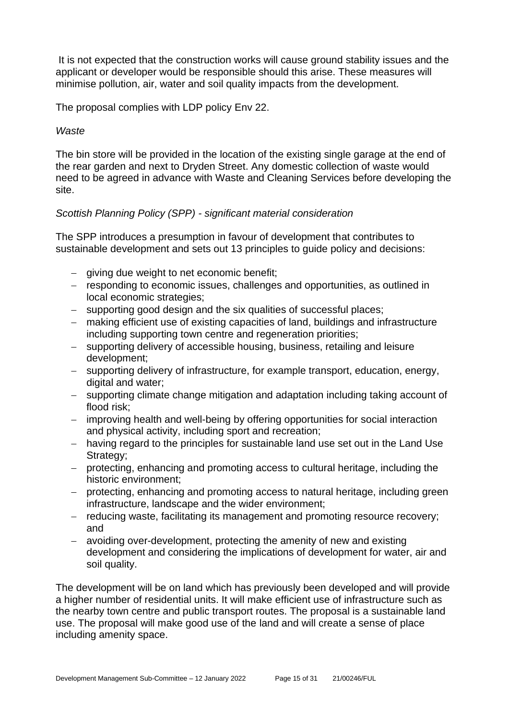It is not expected that the construction works will cause ground stability issues and the applicant or developer would be responsible should this arise. These measures will minimise pollution, air, water and soil quality impacts from the development.

The proposal complies with LDP policy Env 22.

#### *Waste*

The bin store will be provided in the location of the existing single garage at the end of the rear garden and next to Dryden Street. Any domestic collection of waste would need to be agreed in advance with Waste and Cleaning Services before developing the site.

#### *Scottish Planning Policy (SPP) - significant material consideration*

The SPP introduces a presumption in favour of development that contributes to sustainable development and sets out 13 principles to guide policy and decisions:

- − giving due weight to net economic benefit;
- − responding to economic issues, challenges and opportunities, as outlined in local economic strategies;
- − supporting good design and the six qualities of successful places;
- − making efficient use of existing capacities of land, buildings and infrastructure including supporting town centre and regeneration priorities;
- − supporting delivery of accessible housing, business, retailing and leisure development;
- − supporting delivery of infrastructure, for example transport, education, energy, digital and water;
- − supporting climate change mitigation and adaptation including taking account of flood risk;
- − improving health and well-being by offering opportunities for social interaction and physical activity, including sport and recreation;
- − having regard to the principles for sustainable land use set out in the Land Use Strategy;
- − protecting, enhancing and promoting access to cultural heritage, including the historic environment;
- − protecting, enhancing and promoting access to natural heritage, including green infrastructure, landscape and the wider environment;
- − reducing waste, facilitating its management and promoting resource recovery; and
- − avoiding over-development, protecting the amenity of new and existing development and considering the implications of development for water, air and soil quality.

The development will be on land which has previously been developed and will provide a higher number of residential units. It will make efficient use of infrastructure such as the nearby town centre and public transport routes. The proposal is a sustainable land use. The proposal will make good use of the land and will create a sense of place including amenity space.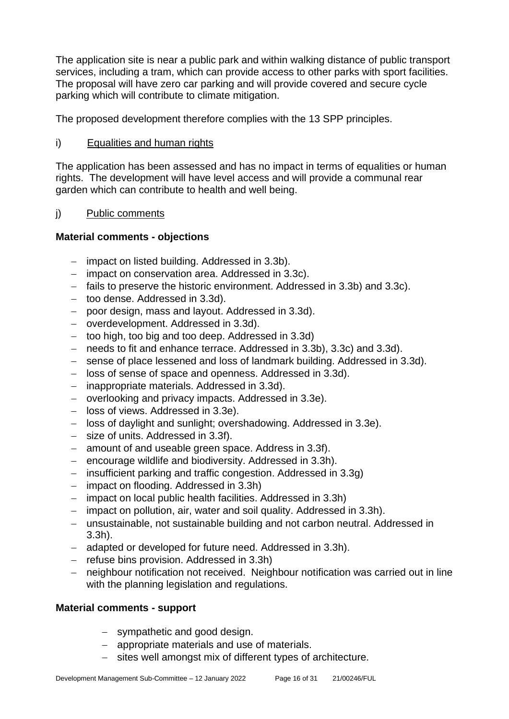The application site is near a public park and within walking distance of public transport services, including a tram, which can provide access to other parks with sport facilities. The proposal will have zero car parking and will provide covered and secure cycle parking which will contribute to climate mitigation.

The proposed development therefore complies with the 13 SPP principles.

# i) Equalities and human rights

The application has been assessed and has no impact in terms of equalities or human rights. The development will have level access and will provide a communal rear garden which can contribute to health and well being.

# j) Public comments

# **Material comments - objections**

- − impact on listed building. Addressed in 3.3b).
- − impact on conservation area. Addressed in 3.3c).
- − fails to preserve the historic environment. Addressed in 3.3b) and 3.3c).
- − too dense. Addressed in 3.3d).
- − poor design, mass and layout. Addressed in 3.3d).
- − overdevelopment. Addressed in 3.3d).
- − too high, too big and too deep. Addressed in 3.3d)
- − needs to fit and enhance terrace. Addressed in 3.3b), 3.3c) and 3.3d).
- − sense of place lessened and loss of landmark building. Addressed in 3.3d).
- − loss of sense of space and openness. Addressed in 3.3d).
- − inappropriate materials. Addressed in 3.3d).
- − overlooking and privacy impacts. Addressed in 3.3e).
- − loss of views. Addressed in 3.3e).
- − loss of daylight and sunlight; overshadowing. Addressed in 3.3e).
- − size of units. Addressed in 3.3f).
- − amount of and useable green space. Address in 3.3f).
- − encourage wildlife and biodiversity. Addressed in 3.3h).
- − insufficient parking and traffic congestion. Addressed in 3.3g)
- − impact on flooding. Addressed in 3.3h)
- − impact on local public health facilities. Addressed in 3.3h)
- − impact on pollution, air, water and soil quality. Addressed in 3.3h).
- − unsustainable, not sustainable building and not carbon neutral. Addressed in 3.3h).
- − adapted or developed for future need. Addressed in 3.3h).
- − refuse bins provision. Addressed in 3.3h)
- − neighbour notification not received. Neighbour notification was carried out in line with the planning legislation and regulations.

# **Material comments - support**

- − sympathetic and good design.
- − appropriate materials and use of materials.
- − sites well amongst mix of different types of architecture.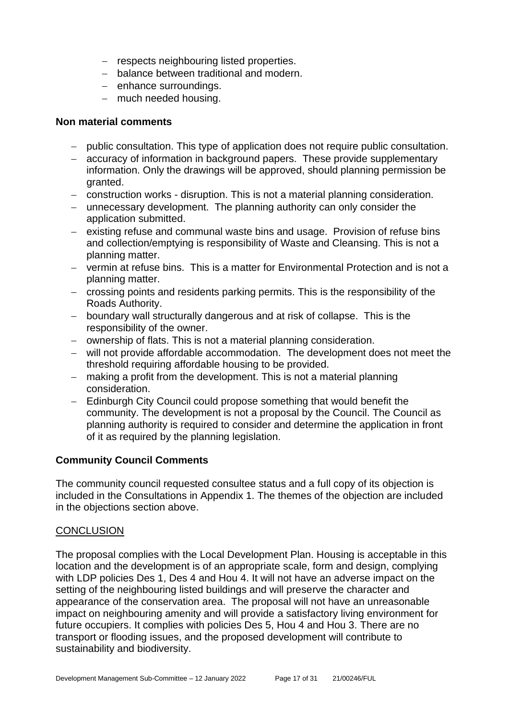- − respects neighbouring listed properties.
- − balance between traditional and modern.
- − enhance surroundings.
- − much needed housing.

# **Non material comments**

- − public consultation. This type of application does not require public consultation.
- − accuracy of information in background papers. These provide supplementary information. Only the drawings will be approved, should planning permission be granted.
- − construction works disruption. This is not a material planning consideration.
- − unnecessary development. The planning authority can only consider the application submitted.
- − existing refuse and communal waste bins and usage. Provision of refuse bins and collection/emptying is responsibility of Waste and Cleansing. This is not a planning matter.
- − vermin at refuse bins. This is a matter for Environmental Protection and is not a planning matter.
- − crossing points and residents parking permits. This is the responsibility of the Roads Authority.
- − boundary wall structurally dangerous and at risk of collapse. This is the responsibility of the owner.
- − ownership of flats. This is not a material planning consideration.
- − will not provide affordable accommodation. The development does not meet the threshold requiring affordable housing to be provided.
- − making a profit from the development. This is not a material planning consideration.
- − Edinburgh City Council could propose something that would benefit the community. The development is not a proposal by the Council. The Council as planning authority is required to consider and determine the application in front of it as required by the planning legislation.

# **Community Council Comments**

The community council requested consultee status and a full copy of its objection is included in the Consultations in Appendix 1. The themes of the objection are included in the objections section above.

# **CONCLUSION**

The proposal complies with the Local Development Plan. Housing is acceptable in this location and the development is of an appropriate scale, form and design, complying with LDP policies Des 1, Des 4 and Hou 4. It will not have an adverse impact on the setting of the neighbouring listed buildings and will preserve the character and appearance of the conservation area. The proposal will not have an unreasonable impact on neighbouring amenity and will provide a satisfactory living environment for future occupiers. It complies with policies Des 5, Hou 4 and Hou 3. There are no transport or flooding issues, and the proposed development will contribute to sustainability and biodiversity.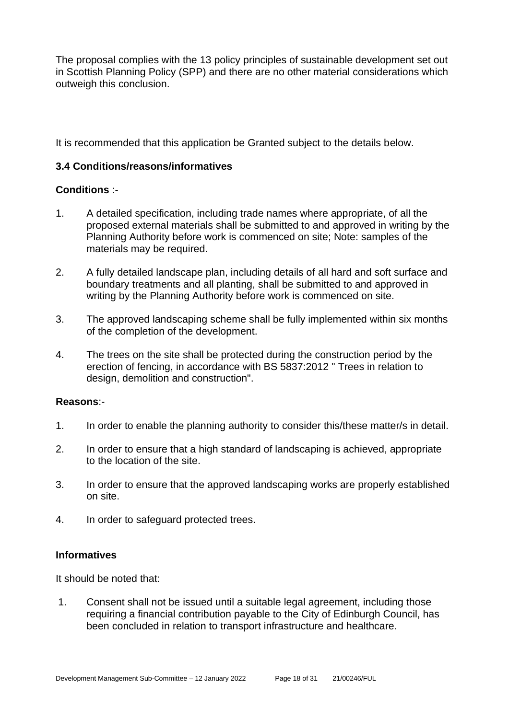The proposal complies with the 13 policy principles of sustainable development set out in Scottish Planning Policy (SPP) and there are no other material considerations which outweigh this conclusion.

It is recommended that this application be Granted subject to the details below.

# **3.4 Conditions/reasons/informatives**

# **Conditions** :-

- 1. A detailed specification, including trade names where appropriate, of all the proposed external materials shall be submitted to and approved in writing by the Planning Authority before work is commenced on site; Note: samples of the materials may be required.
- 2. A fully detailed landscape plan, including details of all hard and soft surface and boundary treatments and all planting, shall be submitted to and approved in writing by the Planning Authority before work is commenced on site.
- 3. The approved landscaping scheme shall be fully implemented within six months of the completion of the development.
- 4. The trees on the site shall be protected during the construction period by the erection of fencing, in accordance with BS 5837:2012 " Trees in relation to design, demolition and construction".

# **Reasons**:-

- 1. In order to enable the planning authority to consider this/these matter/s in detail.
- 2. In order to ensure that a high standard of landscaping is achieved, appropriate to the location of the site.
- 3. In order to ensure that the approved landscaping works are properly established on site.
- 4. In order to safeguard protected trees.

# **Informatives**

It should be noted that:

1. Consent shall not be issued until a suitable legal agreement, including those requiring a financial contribution payable to the City of Edinburgh Council, has been concluded in relation to transport infrastructure and healthcare.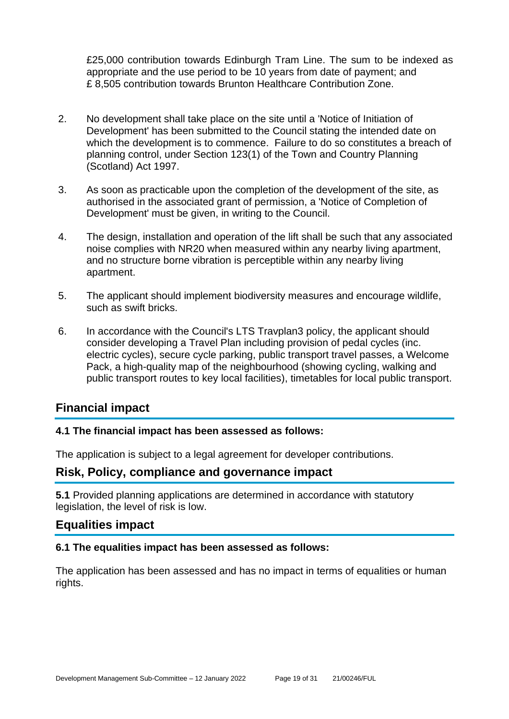£25,000 contribution towards Edinburgh Tram Line. The sum to be indexed as appropriate and the use period to be 10 years from date of payment; and £ 8,505 contribution towards Brunton Healthcare Contribution Zone.

- 2. No development shall take place on the site until a 'Notice of Initiation of Development' has been submitted to the Council stating the intended date on which the development is to commence. Failure to do so constitutes a breach of planning control, under Section 123(1) of the Town and Country Planning (Scotland) Act 1997.
- 3. As soon as practicable upon the completion of the development of the site, as authorised in the associated grant of permission, a 'Notice of Completion of Development' must be given, in writing to the Council.
- 4. The design, installation and operation of the lift shall be such that any associated noise complies with NR20 when measured within any nearby living apartment, and no structure borne vibration is perceptible within any nearby living apartment.
- 5. The applicant should implement biodiversity measures and encourage wildlife, such as swift bricks.
- 6. In accordance with the Council's LTS Travplan3 policy, the applicant should consider developing a Travel Plan including provision of pedal cycles (inc. electric cycles), secure cycle parking, public transport travel passes, a Welcome Pack, a high-quality map of the neighbourhood (showing cycling, walking and public transport routes to key local facilities), timetables for local public transport.

# **Financial impact**

# **4.1 The financial impact has been assessed as follows:**

The application is subject to a legal agreement for developer contributions.

# **Risk, Policy, compliance and governance impact**

**5.1** Provided planning applications are determined in accordance with statutory legislation, the level of risk is low.

# **Equalities impact**

# **6.1 The equalities impact has been assessed as follows:**

The application has been assessed and has no impact in terms of equalities or human rights.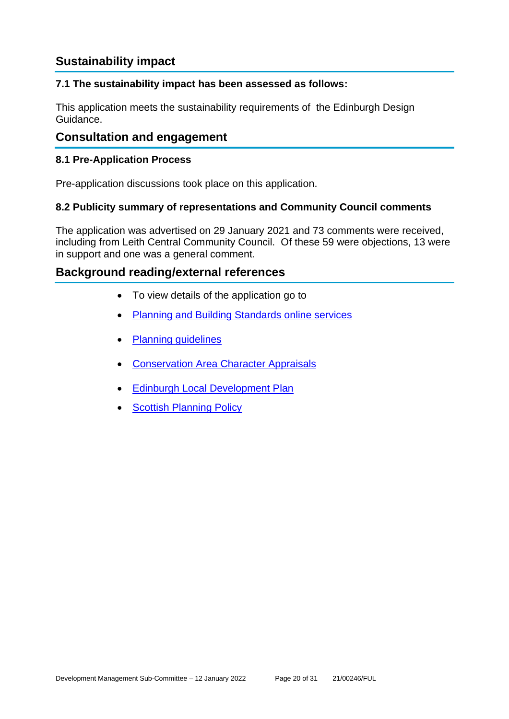# **Sustainability impact**

# **7.1 The sustainability impact has been assessed as follows:**

This application meets the sustainability requirements of the Edinburgh Design Guidance.

# **Consultation and engagement**

# **8.1 Pre-Application Process**

Pre-application discussions took place on this application.

# **8.2 Publicity summary of representations and Community Council comments**

The application was advertised on 29 January 2021 and 73 comments were received, including from Leith Central Community Council. Of these 59 were objections, 13 were in support and one was a general comment.

# **Background reading/external references**

- To view details of the application go to
- [Planning and Building Standards online services](https://citydev-portal.edinburgh.gov.uk/idoxpa-web/search.do?action=simple&searchType=Application)
- [Planning guidelines](http://www.edinburgh.gov.uk/planningguidelines)
- **[Conservation Area Character Appraisals](http://www.edinburgh.gov.uk/characterappraisals)**
- [Edinburgh Local Development Plan](http://www.edinburgh.gov.uk/localdevelopmentplan)
- **[Scottish Planning Policy](http://www.scotland.gov.uk/Topics/Built-Environment/planning/Policy)**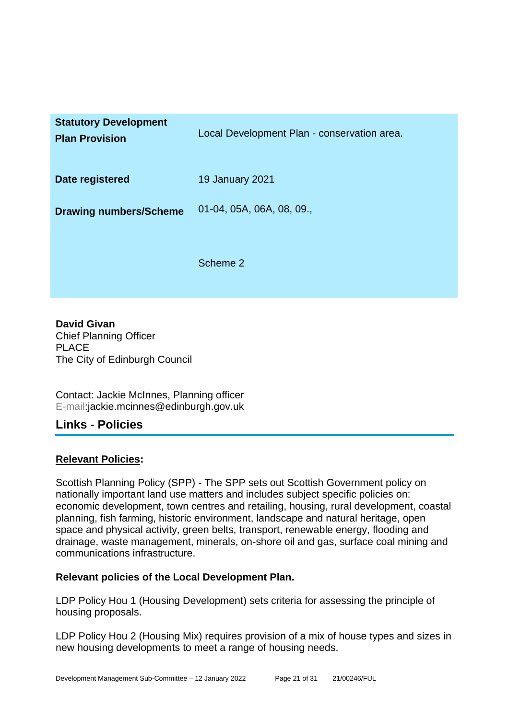| <b>Statutory Development</b><br><b>Plan Provision</b> | Local Development Plan - conservation area. |
|-------------------------------------------------------|---------------------------------------------|
| Date registered                                       | <b>19 January 2021</b>                      |
| <b>Drawing numbers/Scheme</b>                         | 01-04, 05A, 06A, 08, 09.,                   |
|                                                       | Scheme 2                                    |

**David Givan** Chief Planning Officer PLACE The City of Edinburgh Council

Contact: Jackie McInnes, Planning officer E-mail:jackie.mcinnes@edinburgh.gov.uk

# **Links - Policies**

# **Relevant Policies:**

Scottish Planning Policy (SPP) - The SPP sets out Scottish Government policy on nationally important land use matters and includes subject specific policies on: economic development, town centres and retailing, housing, rural development, coastal planning, fish farming, historic environment, landscape and natural heritage, open space and physical activity, green belts, transport, renewable energy, flooding and drainage, waste management, minerals, on-shore oil and gas, surface coal mining and communications infrastructure.

# **Relevant policies of the Local Development Plan.**

LDP Policy Hou 1 (Housing Development) sets criteria for assessing the principle of housing proposals.

LDP Policy Hou 2 (Housing Mix) requires provision of a mix of house types and sizes in new housing developments to meet a range of housing needs.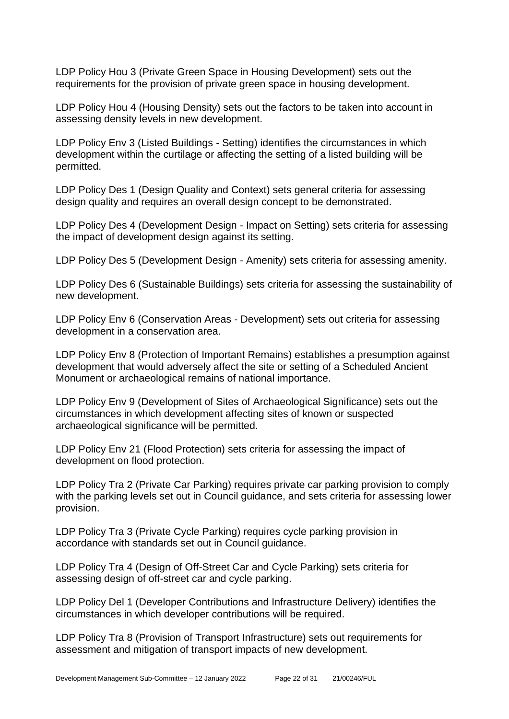LDP Policy Hou 3 (Private Green Space in Housing Development) sets out the requirements for the provision of private green space in housing development.

LDP Policy Hou 4 (Housing Density) sets out the factors to be taken into account in assessing density levels in new development.

LDP Policy Env 3 (Listed Buildings - Setting) identifies the circumstances in which development within the curtilage or affecting the setting of a listed building will be permitted.

LDP Policy Des 1 (Design Quality and Context) sets general criteria for assessing design quality and requires an overall design concept to be demonstrated.

LDP Policy Des 4 (Development Design - Impact on Setting) sets criteria for assessing the impact of development design against its setting.

LDP Policy Des 5 (Development Design - Amenity) sets criteria for assessing amenity.

LDP Policy Des 6 (Sustainable Buildings) sets criteria for assessing the sustainability of new development.

LDP Policy Env 6 (Conservation Areas - Development) sets out criteria for assessing development in a conservation area.

LDP Policy Env 8 (Protection of Important Remains) establishes a presumption against development that would adversely affect the site or setting of a Scheduled Ancient Monument or archaeological remains of national importance.

LDP Policy Env 9 (Development of Sites of Archaeological Significance) sets out the circumstances in which development affecting sites of known or suspected archaeological significance will be permitted.

LDP Policy Env 21 (Flood Protection) sets criteria for assessing the impact of development on flood protection.

LDP Policy Tra 2 (Private Car Parking) requires private car parking provision to comply with the parking levels set out in Council guidance, and sets criteria for assessing lower provision.

LDP Policy Tra 3 (Private Cycle Parking) requires cycle parking provision in accordance with standards set out in Council guidance.

LDP Policy Tra 4 (Design of Off-Street Car and Cycle Parking) sets criteria for assessing design of off-street car and cycle parking.

LDP Policy Del 1 (Developer Contributions and Infrastructure Delivery) identifies the circumstances in which developer contributions will be required.

LDP Policy Tra 8 (Provision of Transport Infrastructure) sets out requirements for assessment and mitigation of transport impacts of new development.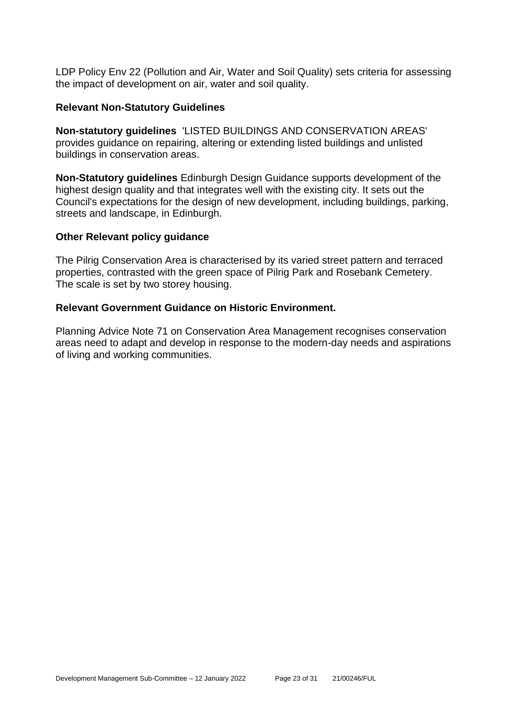LDP Policy Env 22 (Pollution and Air, Water and Soil Quality) sets criteria for assessing the impact of development on air, water and soil quality.

#### **Relevant Non-Statutory Guidelines**

**Non-statutory guidelines** 'LISTED BUILDINGS AND CONSERVATION AREAS' provides guidance on repairing, altering or extending listed buildings and unlisted buildings in conservation areas.

**Non-Statutory guidelines** Edinburgh Design Guidance supports development of the highest design quality and that integrates well with the existing city. It sets out the Council's expectations for the design of new development, including buildings, parking, streets and landscape, in Edinburgh.

#### **Other Relevant policy guidance**

The Pilrig Conservation Area is characterised by its varied street pattern and terraced properties, contrasted with the green space of Pilrig Park and Rosebank Cemetery. The scale is set by two storey housing.

#### **Relevant Government Guidance on Historic Environment.**

Planning Advice Note 71 on Conservation Area Management recognises conservation areas need to adapt and develop in response to the modern-day needs and aspirations of living and working communities.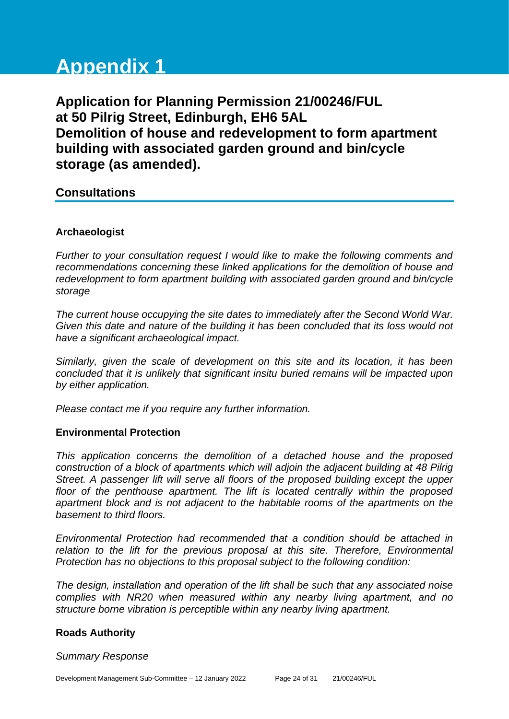# **Appendix 1**

**Application for Planning Permission 21/00246/FUL at 50 Pilrig Street, Edinburgh, EH6 5AL Demolition of house and redevelopment to form apartment building with associated garden ground and bin/cycle storage (as amended).**

# **Consultations**

# **Archaeologist**

*Further to your consultation request I would like to make the following comments and recommendations concerning these linked applications for the demolition of house and redevelopment to form apartment building with associated garden ground and bin/cycle storage*

*The current house occupying the site dates to immediately after the Second World War. Given this date and nature of the building it has been concluded that its loss would not have a significant archaeological impact.* 

*Similarly, given the scale of development on this site and its location, it has been concluded that it is unlikely that significant insitu buried remains will be impacted upon by either application.* 

*Please contact me if you require any further information.*

# **Environmental Protection**

*This application concerns the demolition of a detached house and the proposed construction of a block of apartments which will adjoin the adjacent building at 48 Pilrig Street. A passenger lift will serve all floors of the proposed building except the upper floor of the penthouse apartment. The lift is located centrally within the proposed apartment block and is not adjacent to the habitable rooms of the apartments on the basement to third floors.* 

*Environmental Protection had recommended that a condition should be attached in relation to the lift for the previous proposal at this site. Therefore, Environmental Protection has no objections to this proposal subject to the following condition:*

*The design, installation and operation of the lift shall be such that any associated noise complies with NR20 when measured within any nearby living apartment, and no structure borne vibration is perceptible within any nearby living apartment.*

# **Roads Authority**

#### *Summary Response*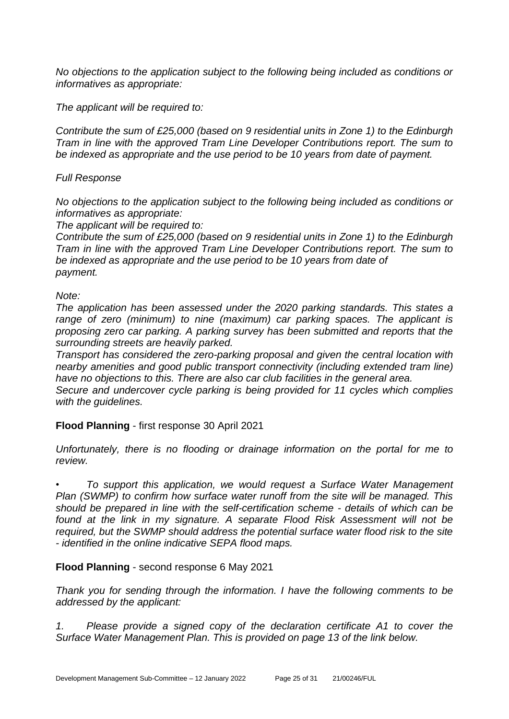*No objections to the application subject to the following being included as conditions or informatives as appropriate:*

*The applicant will be required to:*

*Contribute the sum of £25,000 (based on 9 residential units in Zone 1) to the Edinburgh Tram in line with the approved Tram Line Developer Contributions report. The sum to be indexed as appropriate and the use period to be 10 years from date of payment.*

# *Full Response*

*No objections to the application subject to the following being included as conditions or informatives as appropriate:*

*The applicant will be required to:* 

*Contribute the sum of £25,000 (based on 9 residential units in Zone 1) to the Edinburgh Tram in line with the approved Tram Line Developer Contributions report. The sum to be indexed as appropriate and the use period to be 10 years from date of payment.*

#### *Note:*

*The application has been assessed under the 2020 parking standards. This states a range of zero (minimum) to nine (maximum) car parking spaces. The applicant is proposing zero car parking. A parking survey has been submitted and reports that the surrounding streets are heavily parked.*

*Transport has considered the zero-parking proposal and given the central location with nearby amenities and good public transport connectivity (including extended tram line) have no objections to this. There are also car club facilities in the general area.*

*Secure and undercover cycle parking is being provided for 11 cycles which complies with the guidelines.*

# **Flood Planning** - first response 30 April 2021

*Unfortunately, there is no flooding or drainage information on the portal for me to review.* 

*• To support this application, we would request a Surface Water Management Plan (SWMP) to confirm how surface water runoff from the site will be managed. This should be prepared in line with the self-certification scheme - details of which can be*  found at the link in my signature. A separate Flood Risk Assessment will not be *required, but the SWMP should address the potential surface water flood risk to the site - identified in the online indicative SEPA flood maps.* 

# **Flood Planning** - second response 6 May 2021

*Thank you for sending through the information. I have the following comments to be addressed by the applicant:*

*1. Please provide a signed copy of the declaration certificate A1 to cover the Surface Water Management Plan. This is provided on page 13 of the link below.*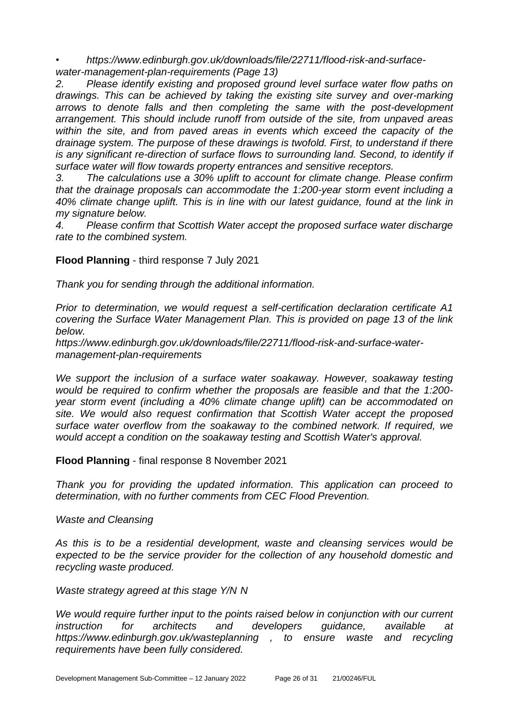*• https://www.edinburgh.gov.uk/downloads/file/22711/flood-risk-and-surfacewater-management-plan-requirements (Page 13)* 

*2. Please identify existing and proposed ground level surface water flow paths on drawings. This can be achieved by taking the existing site survey and over-marking arrows to denote falls and then completing the same with the post-development arrangement. This should include runoff from outside of the site, from unpaved areas within the site, and from paved areas in events which exceed the capacity of the drainage system. The purpose of these drawings is twofold. First, to understand if there is any significant re-direction of surface flows to surrounding land. Second, to identify if surface water will flow towards property entrances and sensitive receptors.* 

*3. The calculations use a 30% uplift to account for climate change. Please confirm that the drainage proposals can accommodate the 1:200-year storm event including a 40% climate change uplift. This is in line with our latest guidance, found at the link in my signature below.* 

*4. Please confirm that Scottish Water accept the proposed surface water discharge rate to the combined system.* 

# **Flood Planning** - third response 7 July 2021

*Thank you for sending through the additional information.* 

*Prior to determination, we would request a self-certification declaration certificate A1 covering the Surface Water Management Plan. This is provided on page 13 of the link below.* 

*https://www.edinburgh.gov.uk/downloads/file/22711/flood-risk-and-surface-watermanagement-plan-requirements* 

*We support the inclusion of a surface water soakaway. However, soakaway testing would be required to confirm whether the proposals are feasible and that the 1:200 year storm event (including a 40% climate change uplift) can be accommodated on site. We would also request confirmation that Scottish Water accept the proposed surface water overflow from the soakaway to the combined network. If required, we would accept a condition on the soakaway testing and Scottish Water's approval.* 

# **Flood Planning** - final response 8 November 2021

*Thank you for providing the updated information. This application can proceed to determination, with no further comments from CEC Flood Prevention.* 

*Waste and Cleansing*

*As this is to be a residential development, waste and cleansing services would be expected to be the service provider for the collection of any household domestic and recycling waste produced.* 

*Waste strategy agreed at this stage Y/N N*

*We would require further input to the points raised below in conjunction with our current instruction for architects and developers guidance, available at https://www.edinburgh.gov.uk/wasteplanning , to ensure waste and recycling requirements have been fully considered.*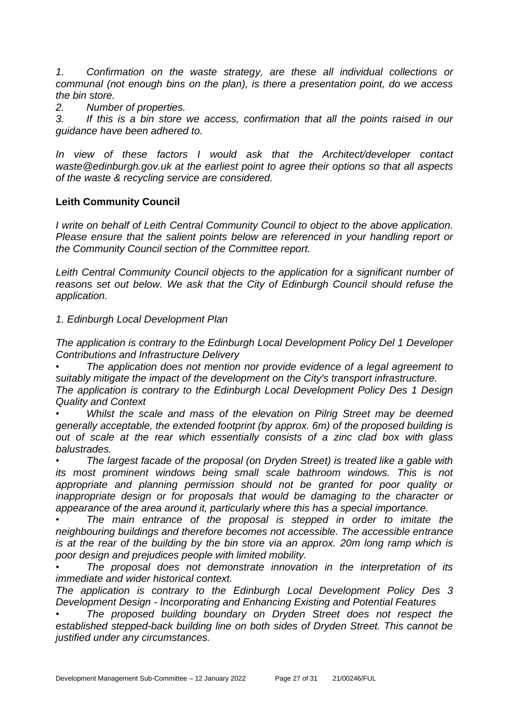*1. Confirmation on the waste strategy, are these all individual collections or communal (not enough bins on the plan), is there a presentation point, do we access the bin store.*

*2. Number of properties.*

*3. If this is a bin store we access, confirmation that all the points raised in our guidance have been adhered to.*

*In view of these factors I would ask that the Architect/developer contact waste@edinburgh.gov.uk at the earliest point to agree their options so that all aspects of the waste & recycling service are considered.*

# **Leith Community Council**

*I write on behalf of Leith Central Community Council to object to the above application. Please ensure that the salient points below are referenced in your handling report or the Community Council section of the Committee report.*

*Leith Central Community Council objects to the application for a significant number of reasons set out below. We ask that the City of Edinburgh Council should refuse the application.*

*1. Edinburgh Local Development Plan*

*The application is contrary to the Edinburgh Local Development Policy Del 1 Developer Contributions and Infrastructure Delivery*

*• The application does not mention nor provide evidence of a legal agreement to suitably mitigate the impact of the development on the City's transport infrastructure.*

*The application is contrary to the Edinburgh Local Development Policy Des 1 Design Quality and Context*

*• Whilst the scale and mass of the elevation on Pilrig Street may be deemed generally acceptable, the extended footprint (by approx. 6m) of the proposed building is out of scale at the rear which essentially consists of a zinc clad box with glass balustrades.*

*• The largest facade of the proposal (on Dryden Street) is treated like a gable with its most prominent windows being small scale bathroom windows. This is not*  appropriate and planning permission should not be granted for poor quality or *inappropriate design or for proposals that would be damaging to the character or appearance of the area around it, particularly where this has a special importance.*

*• The main entrance of the proposal is stepped in order to imitate the neighbouring buildings and therefore becomes not accessible. The accessible entrance is at the rear of the building by the bin store via an approx. 20m long ramp which is poor design and prejudices people with limited mobility.*

*• The proposal does not demonstrate innovation in the interpretation of its immediate and wider historical context.*

*The application is contrary to the Edinburgh Local Development Policy Des 3 Development Design - Incorporating and Enhancing Existing and Potential Features*

*• The proposed building boundary on Dryden Street does not respect the established stepped-back building line on both sides of Dryden Street. This cannot be justified under any circumstances.*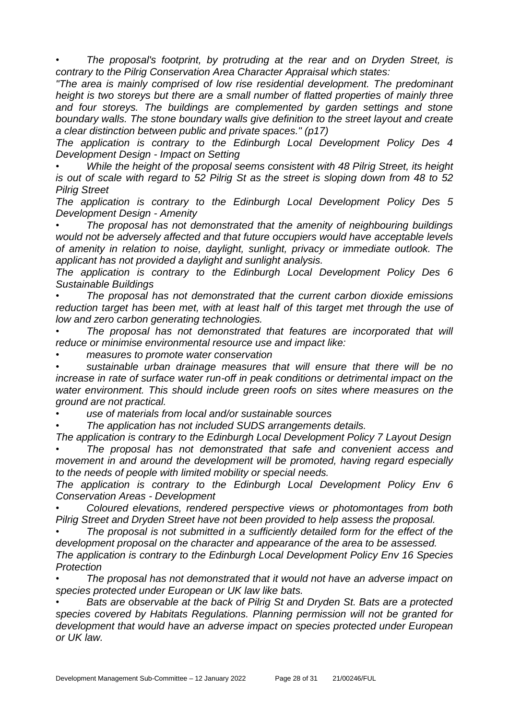*• The proposal's footprint, by protruding at the rear and on Dryden Street, is contrary to the Pilrig Conservation Area Character Appraisal which states:*

*"The area is mainly comprised of low rise residential development. The predominant height is two storeys but there are a small number of flatted properties of mainly three and four storeys. The buildings are complemented by garden settings and stone boundary walls. The stone boundary walls give definition to the street layout and create a clear distinction between public and private spaces." (p17)*

*The application is contrary to the Edinburgh Local Development Policy Des 4 Development Design - Impact on Setting*

*• While the height of the proposal seems consistent with 48 Pilrig Street, its height is out of scale with regard to 52 Pilrig St as the street is sloping down from 48 to 52 Pilrig Street*

*The application is contrary to the Edinburgh Local Development Policy Des 5 Development Design - Amenity*

*• The proposal has not demonstrated that the amenity of neighbouring buildings would not be adversely affected and that future occupiers would have acceptable levels of amenity in relation to noise, daylight, sunlight, privacy or immediate outlook. The applicant has not provided a daylight and sunlight analysis.*

*The application is contrary to the Edinburgh Local Development Policy Des 6 Sustainable Buildings*

*• The proposal has not demonstrated that the current carbon dioxide emissions reduction target has been met, with at least half of this target met through the use of low and zero carbon generating technologies.*

*• The proposal has not demonstrated that features are incorporated that will reduce or minimise environmental resource use and impact like:*

*• measures to promote water conservation*

*• sustainable urban drainage measures that will ensure that there will be no increase in rate of surface water run-off in peak conditions or detrimental impact on the water environment. This should include green roofs on sites where measures on the ground are not practical.*

*• use of materials from local and/or sustainable sources*

*• The application has not included SUDS arrangements details.*

*The application is contrary to the Edinburgh Local Development Policy 7 Layout Design • The proposal has not demonstrated that safe and convenient access and movement in and around the development will be promoted, having regard especially to the needs of people with limited mobility or special needs.*

*The application is contrary to the Edinburgh Local Development Policy Env 6 Conservation Areas - Development*

*• Coloured elevations, rendered perspective views or photomontages from both Pilrig Street and Dryden Street have not been provided to help assess the proposal.*

*• The proposal is not submitted in a sufficiently detailed form for the effect of the development proposal on the character and appearance of the area to be assessed.*

*The application is contrary to the Edinburgh Local Development Policy Env 16 Species Protection*

*• The proposal has not demonstrated that it would not have an adverse impact on species protected under European or UK law like bats.*

*• Bats are observable at the back of Pilrig St and Dryden St. Bats are a protected species covered by Habitats Regulations. Planning permission will not be granted for development that would have an adverse impact on species protected under European or UK law.*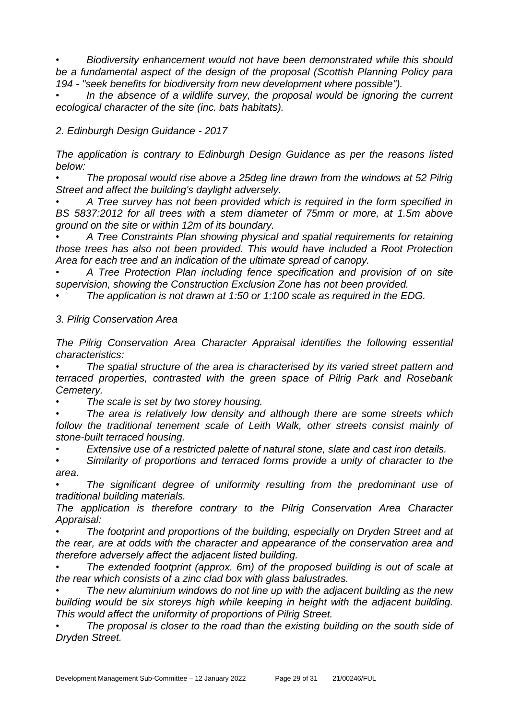*• Biodiversity enhancement would not have been demonstrated while this should be a fundamental aspect of the design of the proposal (Scottish Planning Policy para 194 - "seek benefits for biodiversity from new development where possible").*

*• In the absence of a wildlife survey, the proposal would be ignoring the current ecological character of the site (inc. bats habitats).*

*2. Edinburgh Design Guidance - 2017*

*The application is contrary to Edinburgh Design Guidance as per the reasons listed below:*

*• The proposal would rise above a 25deg line drawn from the windows at 52 Pilrig Street and affect the building's daylight adversely.*

*• A Tree survey has not been provided which is required in the form specified in BS 5837:2012 for all trees with a stem diameter of 75mm or more, at 1.5m above ground on the site or within 12m of its boundary.*

*• A Tree Constraints Plan showing physical and spatial requirements for retaining those trees has also not been provided. This would have included a Root Protection Area for each tree and an indication of the ultimate spread of canopy.*

*• A Tree Protection Plan including fence specification and provision of on site supervision, showing the Construction Exclusion Zone has not been provided.*

*• The application is not drawn at 1:50 or 1:100 scale as required in the EDG.*

*3. Pilrig Conservation Area*

*The Pilrig Conservation Area Character Appraisal identifies the following essential characteristics:*

*• The spatial structure of the area is characterised by its varied street pattern and terraced properties, contrasted with the green space of Pilrig Park and Rosebank Cemetery.*

*• The scale is set by two storey housing.*

*• The area is relatively low density and although there are some streets which*  follow the traditional tenement scale of Leith Walk, other streets consist mainly of *stone-built terraced housing.*

*• Extensive use of a restricted palette of natural stone, slate and cast iron details.*

*• Similarity of proportions and terraced forms provide a unity of character to the area.*

The significant degree of uniformity resulting from the predominant use of *traditional building materials.*

*The application is therefore contrary to the Pilrig Conservation Area Character Appraisal:*

*• The footprint and proportions of the building, especially on Dryden Street and at the rear, are at odds with the character and appearance of the conservation area and therefore adversely affect the adjacent listed building.* 

*• The extended footprint (approx. 6m) of the proposed building is out of scale at the rear which consists of a zinc clad box with glass balustrades.*

*• The new aluminium windows do not line up with the adjacent building as the new building would be six storeys high while keeping in height with the adjacent building. This would affect the uniformity of proportions of Pilrig Street.*

*• The proposal is closer to the road than the existing building on the south side of Dryden Street.*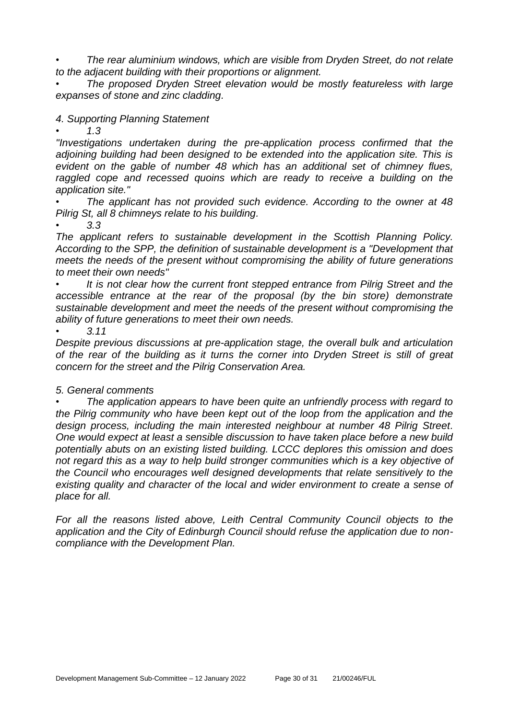*• The rear aluminium windows, which are visible from Dryden Street, do not relate to the adjacent building with their proportions or alignment.*

*• The proposed Dryden Street elevation would be mostly featureless with large expanses of stone and zinc cladding.*

# *4. Supporting Planning Statement*

*• 1.3*

*"Investigations undertaken during the pre-application process confirmed that the adjoining building had been designed to be extended into the application site. This is evident on the gable of number 48 which has an additional set of chimney flues,*  raggled cope and recessed quoins which are ready to receive a building on the *application site."*

*• The applicant has not provided such evidence. According to the owner at 48 Pilrig St, all 8 chimneys relate to his building.*

*• 3.3*

*The applicant refers to sustainable development in the Scottish Planning Policy. According to the SPP, the definition of sustainable development is a "Development that meets the needs of the present without compromising the ability of future generations to meet their own needs"*

*• It is not clear how the current front stepped entrance from Pilrig Street and the accessible entrance at the rear of the proposal (by the bin store) demonstrate sustainable development and meet the needs of the present without compromising the ability of future generations to meet their own needs.*

*• 3.11*

*Despite previous discussions at pre-application stage, the overall bulk and articulation of the rear of the building as it turns the corner into Dryden Street is still of great concern for the street and the Pilrig Conservation Area.*

# *5. General comments*

*• The application appears to have been quite an unfriendly process with regard to the Pilrig community who have been kept out of the loop from the application and the design process, including the main interested neighbour at number 48 Pilrig Street. One would expect at least a sensible discussion to have taken place before a new build potentially abuts on an existing listed building. LCCC deplores this omission and does not regard this as a way to help build stronger communities which is a key objective of the Council who encourages well designed developments that relate sensitively to the existing quality and character of the local and wider environment to create a sense of place for all.*

*For all the reasons listed above, Leith Central Community Council objects to the application and the City of Edinburgh Council should refuse the application due to noncompliance with the Development Plan.*